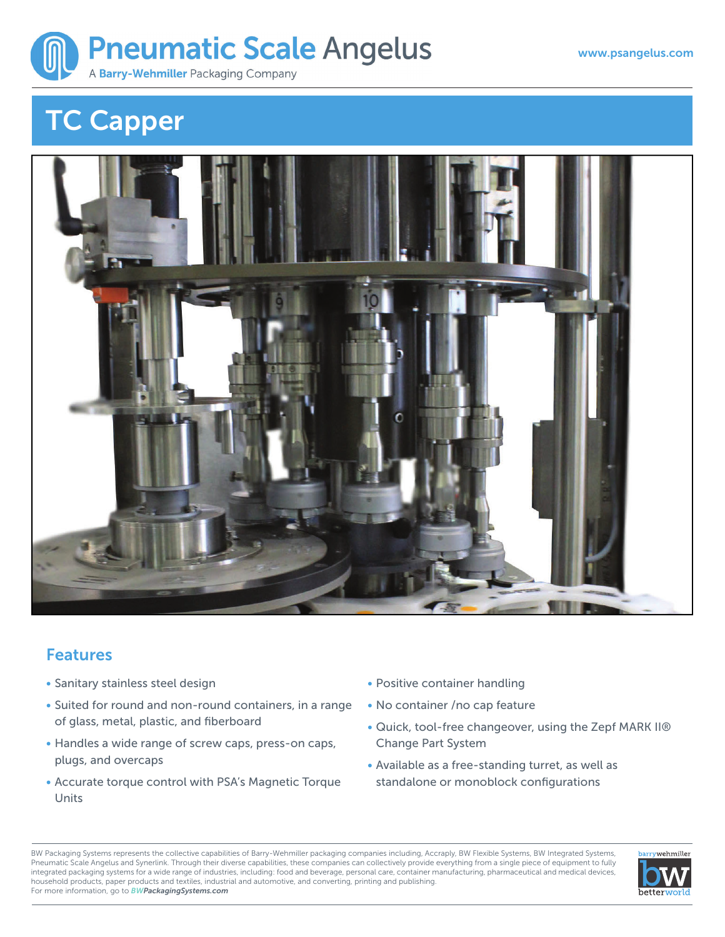

## **TC Capper**



## **Features**

- Sanitary stainless steel design
- Suited for round and non-round containers, in a range of glass, metal, plastic, and fiberboard
- Handles a wide range of screw caps, press-on caps, plugs, and overcaps
- Accurate torque control with PSA's Magnetic Torque Units
- Positive container handling
- No container /no cap feature
- Quick, tool-free changeover, using the Zepf MARK II® Change Part System
- Available as a free-standing turret, as well as standalone or monoblock configurations

BW Packaging Systems represents the collective capabilities of Barry-Wehmiller packaging companies including, Accraply, BW Flexible Systems, BW Integrated Systems, Pneumatic Scale Angelus and Synerlink. Through their diverse capabilities, these companies can collectively provide everything from a single piece of equipment to fully integrated packaging systems for a wide range of industries, including: food and beverage, personal care, container manufacturing, pharmaceutical and medical devices, household products, paper products and textiles, industrial and automotive, and converting, printing and publishing. For more information, go to *BWPackagingSystems.com*